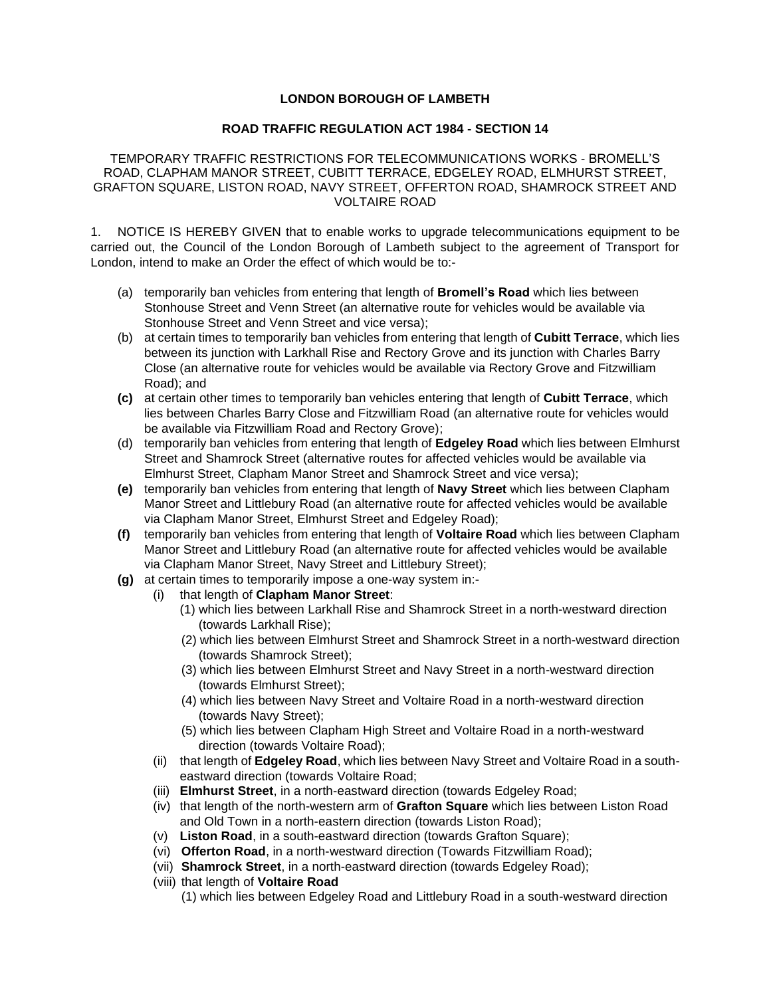## **LONDON BOROUGH OF LAMBETH**

## **ROAD TRAFFIC REGULATION ACT 1984 - SECTION 14**

 GRAFTON SQUARE, LISTON ROAD, NAVY STREET, OFFERTON ROAD, SHAMROCK STREET AND TEMPORARY TRAFFIC RESTRICTIONS FOR TELECOMMUNICATIONS WORKS - BROMELL'S ROAD, CLAPHAM MANOR STREET, CUBITT TERRACE, EDGELEY ROAD, ELMHURST STREET, VOLTAIRE ROAD

 1. NOTICE IS HEREBY GIVEN that to enable works to upgrade telecommunications equipment to be carried out, the Council of the London Borough of Lambeth subject to the agreement of Transport for London, intend to make an Order the effect of which would be to:-

- (a) temporarily ban vehicles from entering that length of **Bromell's Road** which lies between Stonhouse Street and Venn Street (an alternative route for vehicles would be available via Stonhouse Street and Venn Street and vice versa);
- Close (an alternative route for vehicles would be available via Rectory Grove and Fitzwilliam (b) at certain times to temporarily ban vehicles from entering that length of **Cubitt Terrace**, which lies between its junction with Larkhall Rise and Rectory Grove and its junction with Charles Barry Road); and
- be available via Fitzwilliam Road and Rectory Grove); **(c)** at certain other times to temporarily ban vehicles entering that length of **Cubitt Terrace**, which lies between Charles Barry Close and Fitzwilliam Road (an alternative route for vehicles would
- (d) temporarily ban vehicles from entering that length of **Edgeley Road** which lies between Elmhurst Elmhurst Street, Clapham Manor Street and Shamrock Street and vice versa); Street and Shamrock Street (alternative routes for affected vehicles would be available via
- **(e)** temporarily ban vehicles from entering that length of **Navy Street** which lies between Clapham Manor Street and Littlebury Road (an alternative route for affected vehicles would be available via Clapham Manor Street, Elmhurst Street and Edgeley Road);
- **(f)** temporarily ban vehicles from entering that length of **Voltaire Road** which lies between Clapham Manor Street and Littlebury Road (an alternative route for affected vehicles would be available via Clapham Manor Street, Navy Street and Littlebury Street);
- **(g)** at certain times to temporarily impose a one-way system in:-
	- (i) that length of **Clapham Manor Street**:
		- (1) which lies between Larkhall Rise and Shamrock Street in a north-westward direction (towards Larkhall Rise);
		- (2) which lies between Elmhurst Street and Shamrock Street in a north-westward direction (towards Shamrock Street);
		- (3) which lies between Elmhurst Street and Navy Street in a north-westward direction (towards Elmhurst Street);
		- (4) which lies between Navy Street and Voltaire Road in a north-westward direction (towards Navy Street);
		- (5) which lies between Clapham High Street and Voltaire Road in a north-westward direction (towards Voltaire Road);
		- (ii) that length of **Edgeley Road**, which lies between Navy Street and Voltaire Road in a southeastward direction (towards Voltaire Road;
		- (iii) **Elmhurst Street**, in a north-eastward direction (towards Edgeley Road;
		- (iv) that length of the north-western arm of **Grafton Square** which lies between Liston Road and Old Town in a north-eastern direction (towards Liston Road);
		- (v) **Liston Road**, in a south-eastward direction (towards Grafton Square);
		- (vi) **Offerton Road**, in a north-westward direction (Towards Fitzwilliam Road);
		- (vii) **Shamrock Street**, in a north-eastward direction (towards Edgeley Road);
		- (viii) that length of **Voltaire Road** 
			- (1) which lies between Edgeley Road and Littlebury Road in a south-westward direction